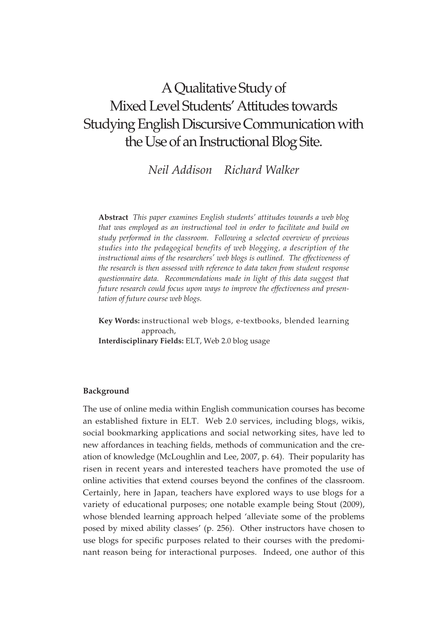# A Qualitative Study of Mixed Level Students' Attitudes towards Studying English Discursive Communication with the Use of an Instructional Blog Site.

*Neil Addison Richard Walker*

**Abstract** *This paper examines English students' attitudes towards a web blog that was employed as an instructional tool in order to facilitate and build on study performed in the classroom. Following a selected overview of previous studies into the pedagogical benefits of web blogging, a description of the instructional aims of the researchers' web blogs is outlined. The effectiveness of the research is then assessed with reference to data taken from student response questionnaire data. Recommendations made in light of this data suggest that future research could focus upon ways to improve the effectiveness and presentation of future course web blogs.*

**Key Words:** instructional web blogs, e-textbooks, blended learning approach, **Interdisciplinary Fields:** ELT, Web 2.0 blog usage

## **Background**

The use of online media within English communication courses has become an established fixture in ELT. Web 2.0 services, including blogs, wikis, social bookmarking applications and social networking sites, have led to new affordances in teaching fields, methods of communication and the creation of knowledge (McLoughlin and Lee, 2007, p. 64). Their popularity has risen in recent years and interested teachers have promoted the use of online activities that extend courses beyond the confines of the classroom. Certainly, here in Japan, teachers have explored ways to use blogs for a variety of educational purposes; one notable example being Stout (2009), whose blended learning approach helped 'alleviate some of the problems posed by mixed ability classes' (p. 256). Other instructors have chosen to use blogs for specific purposes related to their courses with the predominant reason being for interactional purposes. Indeed, one author of this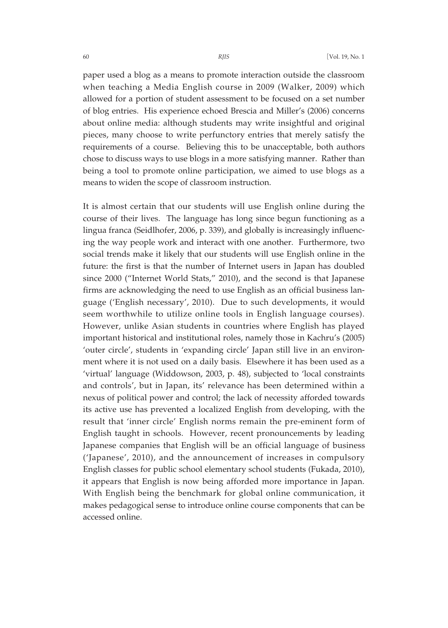paper used a blog as a means to promote interaction outside the classroom when teaching a Media English course in 2009 (Walker, 2009) which allowed for a portion of student assessment to be focused on a set number of blog entries. His experience echoed Brescia and Miller's (2006) concerns about online media: although students may write insightful and original pieces, many choose to write perfunctory entries that merely satisfy the requirements of a course. Believing this to be unacceptable, both authors chose to discuss ways to use blogs in a more satisfying manner. Rather than being a tool to promote online participation, we aimed to use blogs as a means to widen the scope of classroom instruction.

It is almost certain that our students will use English online during the course of their lives. The language has long since begun functioning as a lingua franca (Seidlhofer, 2006, p. 339), and globally is increasingly influencing the way people work and interact with one another. Furthermore, two social trends make it likely that our students will use English online in the future: the first is that the number of Internet users in Japan has doubled since 2000 ("Internet World Stats," 2010), and the second is that Japanese firms are acknowledging the need to use English as an official business language ('English necessary', 2010). Due to such developments, it would seem worthwhile to utilize online tools in English language courses). However, unlike Asian students in countries where English has played important historical and institutional roles, namely those in Kachru's (2005) 'outer circle', students in 'expanding circle' Japan still live in an environment where it is not used on a daily basis. Elsewhere it has been used as a 'virtual' language (Widdowson, 2003, p. 48), subjected to 'local constraints and controls', but in Japan, its' relevance has been determined within a nexus of political power and control; the lack of necessity afforded towards its active use has prevented a localized English from developing, with the result that 'inner circle' English norms remain the pre-eminent form of English taught in schools. However, recent pronouncements by leading Japanese companies that English will be an official language of business ('Japanese', 2010), and the announcement of increases in compulsory English classes for public school elementary school students (Fukada, 2010), it appears that English is now being afforded more importance in Japan. With English being the benchmark for global online communication, it makes pedagogical sense to introduce online course components that can be accessed online.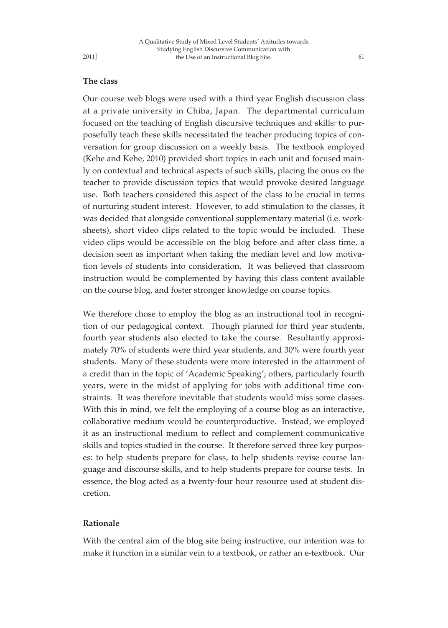## **The class**

Our course web blogs were used with a third year English discussion class at a private university in Chiba, Japan. The departmental curriculum focused on the teaching of English discursive techniques and skills: to purposefully teach these skills necessitated the teacher producing topics of conversation for group discussion on a weekly basis. The textbook employed (Kehe and Kehe, 2010) provided short topics in each unit and focused mainly on contextual and technical aspects of such skills, placing the onus on the teacher to provide discussion topics that would provoke desired language use. Both teachers considered this aspect of the class to be crucial in terms of nurturing student interest. However, to add stimulation to the classes, it was decided that alongside conventional supplementary material (i.e. worksheets), short video clips related to the topic would be included. These video clips would be accessible on the blog before and after class time, a decision seen as important when taking the median level and low motivation levels of students into consideration. It was believed that classroom instruction would be complemented by having this class content available on the course blog, and foster stronger knowledge on course topics.

We therefore chose to employ the blog as an instructional tool in recognition of our pedagogical context. Though planned for third year students, fourth year students also elected to take the course. Resultantly approximately 70% of students were third year students, and 30% were fourth year students. Many of these students were more interested in the attainment of a credit than in the topic of 'Academic Speaking'; others, particularly fourth years, were in the midst of applying for jobs with additional time constraints. It was therefore inevitable that students would miss some classes. With this in mind, we felt the employing of a course blog as an interactive, collaborative medium would be counterproductive. Instead, we employed it as an instructional medium to reflect and complement communicative skills and topics studied in the course. It therefore served three key purposes: to help students prepare for class, to help students revise course language and discourse skills, and to help students prepare for course tests. In essence, the blog acted as a twenty-four hour resource used at student discretion.

## **Rationale**

With the central aim of the blog site being instructive, our intention was to make it function in a similar vein to a textbook, or rather an e-textbook. Our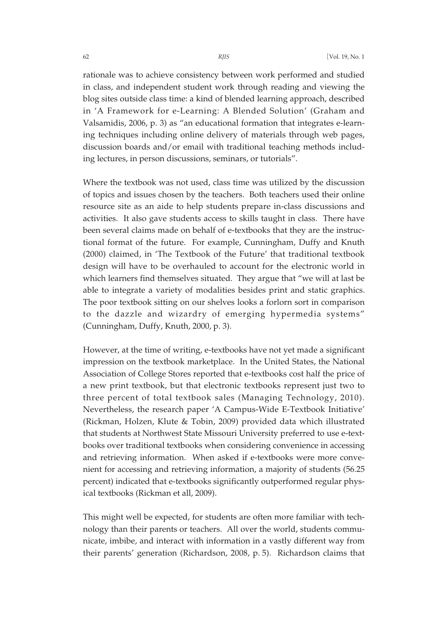rationale was to achieve consistency between work performed and studied in class, and independent student work through reading and viewing the blog sites outside class time: a kind of blended learning approach, described in 'A Framework for e-Learning: A Blended Solution' (Graham and Valsamidis, 2006, p. 3) as "an educational formation that integrates e-learning techniques including online delivery of materials through web pages, discussion boards and/or email with traditional teaching methods including lectures, in person discussions, seminars, or tutorials".

Where the textbook was not used, class time was utilized by the discussion of topics and issues chosen by the teachers. Both teachers used their online resource site as an aide to help students prepare in-class discussions and activities. It also gave students access to skills taught in class. There have been several claims made on behalf of e-textbooks that they are the instructional format of the future. For example, Cunningham, Duffy and Knuth (2000) claimed, in 'The Textbook of the Future' that traditional textbook design will have to be overhauled to account for the electronic world in which learners find themselves situated. They argue that "we will at last be able to integrate a variety of modalities besides print and static graphics. The poor textbook sitting on our shelves looks a forlorn sort in comparison to the dazzle and wizardry of emerging hypermedia systems" (Cunningham, Duffy, Knuth, 2000, p. 3).

However, at the time of writing, e-textbooks have not yet made a significant impression on the textbook marketplace. In the United States, the National Association of College Stores reported that e-textbooks cost half the price of a new print textbook, but that electronic textbooks represent just two to three percent of total textbook sales (Managing Technology, 2010). Nevertheless, the research paper 'A Campus-Wide E-Textbook Initiative' (Rickman, Holzen, Klute & Tobin, 2009) provided data which illustrated that students at Northwest State Missouri University preferred to use e-textbooks over traditional textbooks when considering convenience in accessing and retrieving information. When asked if e-textbooks were more convenient for accessing and retrieving information, a majority of students (56.25 percent) indicated that e-textbooks significantly outperformed regular physical textbooks (Rickman et all, 2009).

This might well be expected, for students are often more familiar with technology than their parents or teachers. All over the world, students communicate, imbibe, and interact with information in a vastly different way from their parents' generation (Richardson, 2008, p. 5). Richardson claims that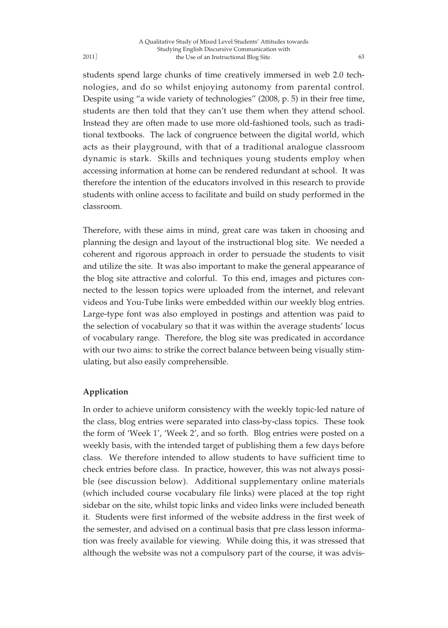students spend large chunks of time creatively immersed in web 2.0 technologies, and do so whilst enjoying autonomy from parental control. Despite using "a wide variety of technologies" (2008, p. 5) in their free time, students are then told that they can't use them when they attend school. Instead they are often made to use more old-fashioned tools, such as traditional textbooks. The lack of congruence between the digital world, which acts as their playground, with that of a traditional analogue classroom dynamic is stark. Skills and techniques young students employ when accessing information at home can be rendered redundant at school. It was therefore the intention of the educators involved in this research to provide students with online access to facilitate and build on study performed in the classroom.

Therefore, with these aims in mind, great care was taken in choosing and planning the design and layout of the instructional blog site. We needed a coherent and rigorous approach in order to persuade the students to visit and utilize the site. It was also important to make the general appearance of the blog site attractive and colorful. To this end, images and pictures connected to the lesson topics were uploaded from the internet, and relevant videos and You-Tube links were embedded within our weekly blog entries. Large-type font was also employed in postings and attention was paid to the selection of vocabulary so that it was within the average students' locus of vocabulary range. Therefore, the blog site was predicated in accordance with our two aims: to strike the correct balance between being visually stimulating, but also easily comprehensible.

## **Application**

In order to achieve uniform consistency with the weekly topic-led nature of the class, blog entries were separated into class-by-class topics. These took the form of 'Week 1', 'Week 2', and so forth. Blog entries were posted on a weekly basis, with the intended target of publishing them a few days before class. We therefore intended to allow students to have sufficient time to check entries before class. In practice, however, this was not always possible (see discussion below). Additional supplementary online materials (which included course vocabulary file links) were placed at the top right sidebar on the site, whilst topic links and video links were included beneath it. Students were first informed of the website address in the first week of the semester, and advised on a continual basis that pre class lesson information was freely available for viewing. While doing this, it was stressed that although the website was not a compulsory part of the course, it was advis-

2011]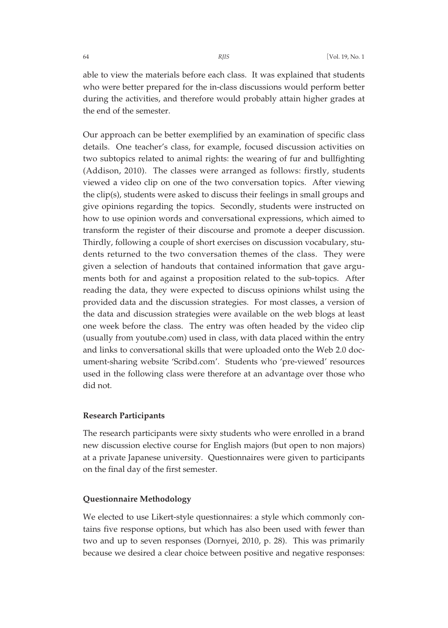able to view the materials before each class. It was explained that students who were better prepared for the in-class discussions would perform better during the activities, and therefore would probably attain higher grades at the end of the semester.

Our approach can be better exemplified by an examination of specific class details. One teacher's class, for example, focused discussion activities on two subtopics related to animal rights: the wearing of fur and bullfighting (Addison, 2010). The classes were arranged as follows: firstly, students viewed a video clip on one of the two conversation topics. After viewing the clip(s), students were asked to discuss their feelings in small groups and give opinions regarding the topics. Secondly, students were instructed on how to use opinion words and conversational expressions, which aimed to transform the register of their discourse and promote a deeper discussion. Thirdly, following a couple of short exercises on discussion vocabulary, students returned to the two conversation themes of the class. They were given a selection of handouts that contained information that gave arguments both for and against a proposition related to the sub-topics. After reading the data, they were expected to discuss opinions whilst using the provided data and the discussion strategies. For most classes, a version of the data and discussion strategies were available on the web blogs at least one week before the class. The entry was often headed by the video clip (usually from youtube.com) used in class, with data placed within the entry and links to conversational skills that were uploaded onto the Web 2.0 document-sharing website 'Scribd.com'. Students who 'pre-viewed' resources used in the following class were therefore at an advantage over those who did not.

## **Research Participants**

The research participants were sixty students who were enrolled in a brand new discussion elective course for English majors (but open to non majors) at a private Japanese university. Questionnaires were given to participants on the final day of the first semester.

## **Questionnaire Methodology**

We elected to use Likert-style questionnaires: a style which commonly contains five response options, but which has also been used with fewer than two and up to seven responses (Dornyei, 2010, p. 28). This was primarily because we desired a clear choice between positive and negative responses: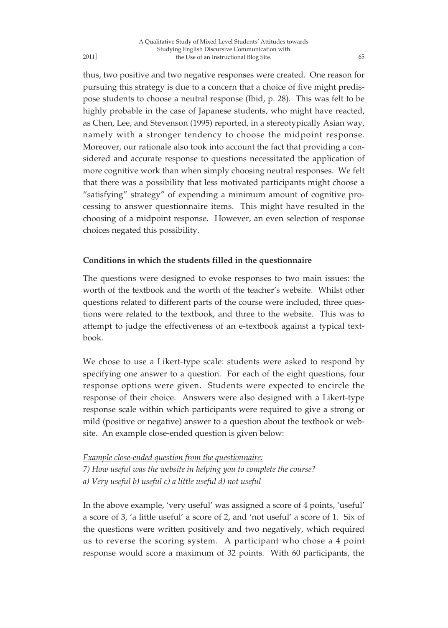thus, two positive and two negative responses were created. One reason for pursuing this strategy is due to a concern that a choice of five might predispose students to choose a neutral response (Ibid, p. 28). This was felt to be highly probable in the case of Japanese students, who might have reacted, as Chen, Lee, and Stevenson (1995) reported, in a stereotypically Asian way, namely with a stronger tendency to choose the midpoint response. Moreover, our rationale also took into account the fact that providing a considered and accurate response to questions necessitated the application of more cognitive work than when simply choosing neutral responses. We felt that there was a possibility that less motivated participants might choose a "satisfying" strategy" of expending a minimum amount of cognitive processing to answer questionnaire items. This might have resulted in the choosing of a midpoint response. However, an even selection of response choices negated this possibility.

# **Conditions in which the students filled in the questionnaire**

The questions were designed to evoke responses to two main issues: the worth of the textbook and the worth of the teacher's website. Whilst other questions related to different parts of the course were included, three questions were related to the textbook, and three to the website. This was to attempt to judge the effectiveness of an e-textbook against a typical textbook.

We chose to use a Likert-type scale: students were asked to respond by specifying one answer to a question. For each of the eight questions, four response options were given. Students were expected to encircle the response of their choice. Answers were also designed with a Likert-type response scale within which participants were required to give a strong or mild (positive or negative) answer to a question about the textbook or website. An example close-ended question is given below:

*Example close-ended question from the questionnaire: 7) How useful was the website in helping you to complete the course? a) Very useful b) useful c) a little useful d) not useful*

In the above example, 'very useful' was assigned a score of 4 points, 'useful' a score of 3, 'a little useful' a score of 2, and 'not useful' a score of 1. Six of the questions were written positively and two negatively, which required us to reverse the scoring system. A participant who chose a 4 point response would score a maximum of 32 points. With 60 participants, the

2011]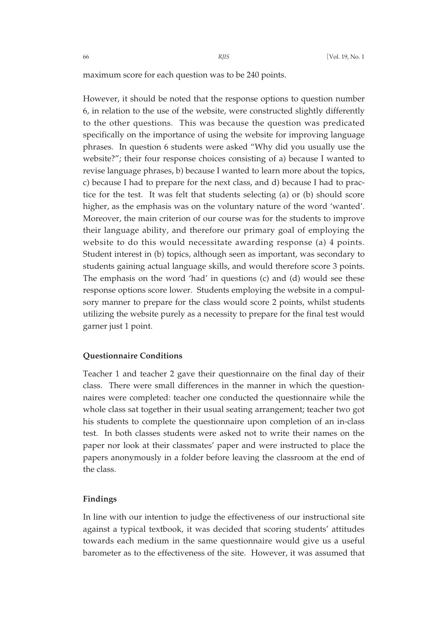maximum score for each question was to be 240 points.

However, it should be noted that the response options to question number 6, in relation to the use of the website, were constructed slightly differently to the other questions. This was because the question was predicated specifically on the importance of using the website for improving language phrases. In question 6 students were asked "Why did you usually use the website?"; their four response choices consisting of a) because I wanted to revise language phrases, b) because I wanted to learn more about the topics, c) because I had to prepare for the next class, and d) because I had to practice for the test. It was felt that students selecting (a) or (b) should score higher, as the emphasis was on the voluntary nature of the word 'wanted'. Moreover, the main criterion of our course was for the students to improve their language ability, and therefore our primary goal of employing the website to do this would necessitate awarding response (a) 4 points. Student interest in (b) topics, although seen as important, was secondary to students gaining actual language skills, and would therefore score 3 points. The emphasis on the word 'had' in questions (c) and (d) would see these response options score lower. Students employing the website in a compulsory manner to prepare for the class would score 2 points, whilst students utilizing the website purely as a necessity to prepare for the final test would garner just 1 point.

## **Questionnaire Conditions**

Teacher 1 and teacher 2 gave their questionnaire on the final day of their class. There were small differences in the manner in which the questionnaires were completed: teacher one conducted the questionnaire while the whole class sat together in their usual seating arrangement; teacher two got his students to complete the questionnaire upon completion of an in-class test. In both classes students were asked not to write their names on the paper nor look at their classmates' paper and were instructed to place the papers anonymously in a folder before leaving the classroom at the end of the class.

## **Findings**

In line with our intention to judge the effectiveness of our instructional site against a typical textbook, it was decided that scoring students' attitudes towards each medium in the same questionnaire would give us a useful barometer as to the effectiveness of the site. However, it was assumed that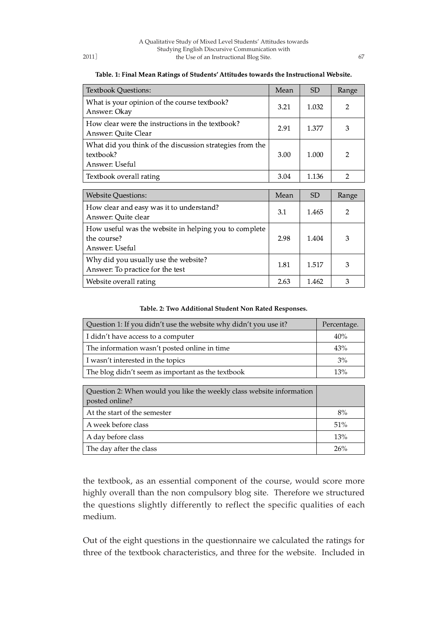| <b>Textbook Questions:</b>                                                              | Mean | <b>SD</b> | Range          |
|-----------------------------------------------------------------------------------------|------|-----------|----------------|
| What is your opinion of the course textbook?<br>Answer: Okay                            | 3.21 | 1.032     | $\overline{2}$ |
| How clear were the instructions in the textbook?<br>Answer: Quite Clear                 | 2.91 | 1.377     | 3              |
| What did you think of the discussion strategies from the<br>textbook?<br>Answer: Useful | 3.00 | 1.000     | $\overline{2}$ |
| Textbook overall rating                                                                 | 3.04 | 1.136     | $\overline{2}$ |
|                                                                                         |      |           |                |
|                                                                                         |      |           |                |
| <b>Website Questions:</b>                                                               | Mean | <b>SD</b> | Range          |
| How clear and easy was it to understand?<br>Answer: Quite clear                         | 3.1  | 1.465     | $\overline{2}$ |
| How useful was the website in helping you to complete<br>the course?<br>Answer: Useful  | 2.98 | 1.404     | 3              |
| Why did you usually use the website?<br>Answer: To practice for the test                | 1.81 | 1.517     | 3              |

#### Table. 1: Final Mean Ratings of Students' Attitudes towards the Instructional Website.

## **Table. 2: Two Additional Student Non Rated Responses.**

| Question 1: If you didn't use the website why didn't you use it? | Percentage. |
|------------------------------------------------------------------|-------------|
| I didn't have access to a computer                               | 40%         |
| The information wasn't posted online in time                     | 43%         |
| I wasn't interested in the topics                                | 3%          |
| The blog didn't seem as important as the textbook                | 13%         |

| Question 2: When would you like the weekly class website information<br>posted online? |     |
|----------------------------------------------------------------------------------------|-----|
| At the start of the semester                                                           | 8%  |
| A week before class                                                                    | 51% |
| A day before class                                                                     | 13% |
| The day after the class                                                                | 26% |

the textbook, as an essential component of the course, would score more highly overall than the non compulsory blog site. Therefore we structured the questions slightly differently to reflect the specific qualities of each medium.

Out of the eight questions in the questionnaire we calculated the ratings for three of the textbook characteristics, and three for the website. Included in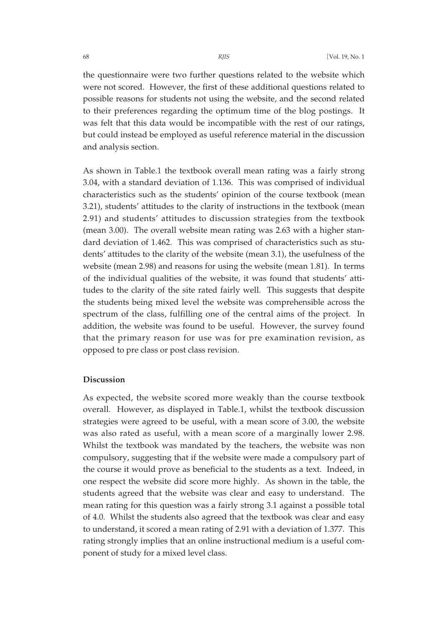the questionnaire were two further questions related to the website which were not scored. However, the first of these additional questions related to possible reasons for students not using the website, and the second related to their preferences regarding the optimum time of the blog postings. It was felt that this data would be incompatible with the rest of our ratings, but could instead be employed as useful reference material in the discussion and analysis section.

As shown in Table.1 the textbook overall mean rating was a fairly strong 3.04, with a standard deviation of 1.136. This was comprised of individual characteristics such as the students' opinion of the course textbook (mean 3.21), students' attitudes to the clarity of instructions in the textbook (mean 2.91) and students' attitudes to discussion strategies from the textbook (mean 3.00). The overall website mean rating was 2.63 with a higher standard deviation of 1.462. This was comprised of characteristics such as students' attitudes to the clarity of the website (mean 3.1), the usefulness of the website (mean 2.98) and reasons for using the website (mean 1.81). In terms of the individual qualities of the website, it was found that students' attitudes to the clarity of the site rated fairly well. This suggests that despite the students being mixed level the website was comprehensible across the spectrum of the class, fulfilling one of the central aims of the project. In addition, the website was found to be useful. However, the survey found that the primary reason for use was for pre examination revision, as opposed to pre class or post class revision.

## **Discussion**

As expected, the website scored more weakly than the course textbook overall. However, as displayed in Table.1, whilst the textbook discussion strategies were agreed to be useful, with a mean score of 3.00, the website was also rated as useful, with a mean score of a marginally lower 2.98. Whilst the textbook was mandated by the teachers, the website was non compulsory, suggesting that if the website were made a compulsory part of the course it would prove as beneficial to the students as a text. Indeed, in one respect the website did score more highly. As shown in the table, the students agreed that the website was clear and easy to understand. The mean rating for this question was a fairly strong 3.1 against a possible total of 4.0. Whilst the students also agreed that the textbook was clear and easy to understand, it scored a mean rating of 2.91 with a deviation of 1.377. This rating strongly implies that an online instructional medium is a useful component of study for a mixed level class.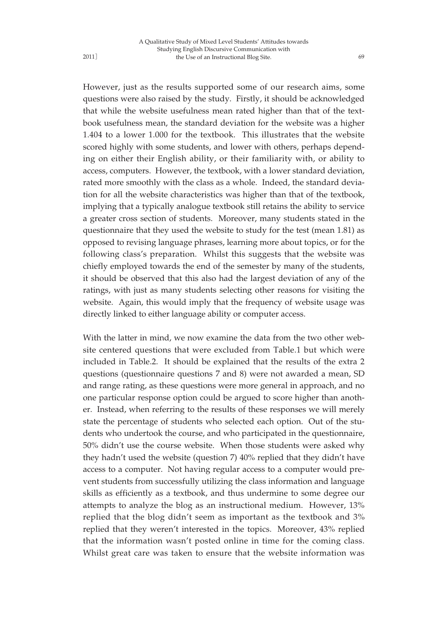However, just as the results supported some of our research aims, some questions were also raised by the study. Firstly, it should be acknowledged that while the website usefulness mean rated higher than that of the textbook usefulness mean, the standard deviation for the website was a higher 1.404 to a lower 1.000 for the textbook. This illustrates that the website scored highly with some students, and lower with others, perhaps depending on either their English ability, or their familiarity with, or ability to access, computers. However, the textbook, with a lower standard deviation, rated more smoothly with the class as a whole. Indeed, the standard deviation for all the website characteristics was higher than that of the textbook, implying that a typically analogue textbook still retains the ability to service a greater cross section of students. Moreover, many students stated in the questionnaire that they used the website to study for the test (mean 1.81) as opposed to revising language phrases, learning more about topics, or for the following class's preparation. Whilst this suggests that the website was chiefly employed towards the end of the semester by many of the students, it should be observed that this also had the largest deviation of any of the ratings, with just as many students selecting other reasons for visiting the website. Again, this would imply that the frequency of website usage was directly linked to either language ability or computer access.

With the latter in mind, we now examine the data from the two other website centered questions that were excluded from Table.1 but which were included in Table.2. It should be explained that the results of the extra 2 questions (questionnaire questions 7 and 8) were not awarded a mean, SD and range rating, as these questions were more general in approach, and no one particular response option could be argued to score higher than another. Instead, when referring to the results of these responses we will merely state the percentage of students who selected each option. Out of the students who undertook the course, and who participated in the questionnaire, 50% didn't use the course website. When those students were asked why they hadn't used the website (question 7) 40% replied that they didn't have access to a computer. Not having regular access to a computer would prevent students from successfully utilizing the class information and language skills as efficiently as a textbook, and thus undermine to some degree our attempts to analyze the blog as an instructional medium. However, 13% replied that the blog didn't seem as important as the textbook and 3% replied that they weren't interested in the topics. Moreover, 43% replied that the information wasn't posted online in time for the coming class. Whilst great care was taken to ensure that the website information was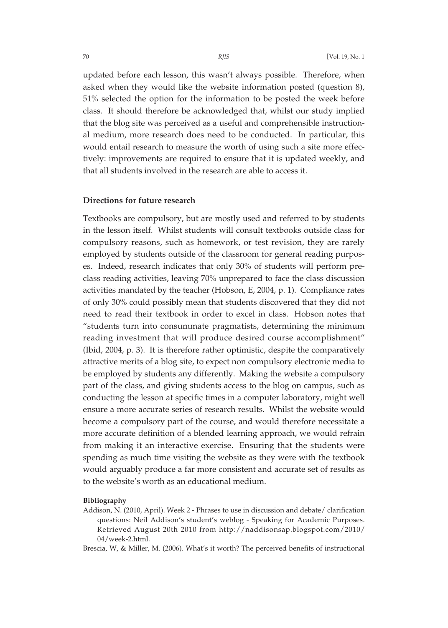updated before each lesson, this wasn't always possible. Therefore, when asked when they would like the website information posted (question 8), 51% selected the option for the information to be posted the week before class. It should therefore be acknowledged that, whilst our study implied that the blog site was perceived as a useful and comprehensible instructional medium, more research does need to be conducted. In particular, this would entail research to measure the worth of using such a site more effectively: improvements are required to ensure that it is updated weekly, and that all students involved in the research are able to access it.

## **Directions for future research**

Textbooks are compulsory, but are mostly used and referred to by students in the lesson itself. Whilst students will consult textbooks outside class for compulsory reasons, such as homework, or test revision, they are rarely employed by students outside of the classroom for general reading purposes. Indeed, research indicates that only 30% of students will perform preclass reading activities, leaving 70% unprepared to face the class discussion activities mandated by the teacher (Hobson, E, 2004, p. 1). Compliance rates of only 30% could possibly mean that students discovered that they did not need to read their textbook in order to excel in class. Hobson notes that "students turn into consummate pragmatists, determining the minimum reading investment that will produce desired course accomplishment" (Ibid, 2004, p. 3). It is therefore rather optimistic, despite the comparatively attractive merits of a blog site, to expect non compulsory electronic media to be employed by students any differently. Making the website a compulsory part of the class, and giving students access to the blog on campus, such as conducting the lesson at specific times in a computer laboratory, might well ensure a more accurate series of research results. Whilst the website would become a compulsory part of the course, and would therefore necessitate a more accurate definition of a blended learning approach, we would refrain from making it an interactive exercise. Ensuring that the students were spending as much time visiting the website as they were with the textbook would arguably produce a far more consistent and accurate set of results as to the website's worth as an educational medium.

## **Bibliography**

Addison, N. (2010, April). Week 2 - Phrases to use in discussion and debate/ clarification questions: Neil Addison's student's weblog - Speaking for Academic Purposes. Retrieved August 20th 2010 from http://naddisonsap.blogspot.com/2010/ 04/week-2.html.

Brescia, W, & Miller, M. (2006). What's it worth? The perceived benefits of instructional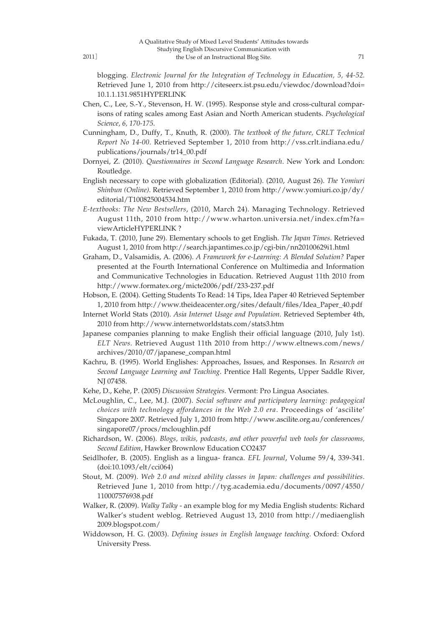2011]

blogging. *Electronic Journal for the Integration of Technology in Education, 5, 44-52*. Retrieved June 1, 2010 from http://citeseerx.ist.psu.edu/viewdoc/download?doi= 10.1.1.131.9851HYPERLINK

- Chen, C., Lee, S.-Y., Stevenson, H. W. (1995). Response style and cross-cultural comparisons of rating scales among East Asian and North American students. *Psychological Science, 6, 170-175*.
- Cunningham, D., Duffy, T., Knuth, R. (2000). *The textbook of the future, CRLT Technical Report No 14-00*. Retrieved September 1, 2010 from http://vss.crlt.indiana.edu/ publications/journals/tr14\_00.pdf
- Dornyei, Z. (2010). *Questionnaires in Second Language Research*. New York and London: Routledge.
- English necessary to cope with globalization (Editorial). (2010, August 26). *The Yomiuri Shinbun (Online)*. Retrieved September 1, 2010 from http://www.yomiuri.co.jp/dy/ editorial/T100825004534.htm
- *E-textbooks: The New Bestsellers*, (2010, March 24). Managing Technology. Retrieved August 11th, 2010 from http://www.wharton.universia.net/index.cfm?fa= viewArticleHYPERLINK ?
- Fukada, T. (2010, June 29). Elementary schools to get English. *The Japan Times*. Retrieved August 1, 2010 from http://search.japantimes.co.jp/cgi-bin/nn20100629i1.html
- Graham, D., Valsamidis, A. (2006). *A Framework for e-Learning: A Blended Solution?* Paper presented at the Fourth International Conference on Multimedia and Information and Communicative Technologies in Education. Retrieved August 11th 2010 from http://www.formatex.org/micte2006/pdf/233-237.pdf
- Hobson, E. (2004). Getting Students To Read: 14 Tips, Idea Paper 40 Retrieved September 1, 2010 from http://www.theideacenter.org/sites/default/files/Idea\_Paper\_40.pdf
- Internet World Stats (2010). *Asia Internet Usage and Population*. Retrieved September 4th, 2010 from http://www.internetworldstats.com/stats3.htm
- Japanese companies planning to make English their official language (2010, July 1st). *ELT News*. Retrieved August 11th 2010 from http://www.eltnews.com/news/ archives/2010/07/japanese\_compan.html
- Kachru, B. (1995). World Englishes: Approaches, Issues, and Responses. In *Research on Second Language Learning and Teaching*. Prentice Hall Regents, Upper Saddle River, NJ 07458.
- Kehe, D., Kehe, P. (2005) *Discussion Strategies*. Vermont: Pro Lingua Asociates.
- McLoughlin, C., Lee, M.J. (2007). *Social software and participatory learning: pedagogical choices with technology affordances in the Web 2.0 era*. Proceedings of 'ascilite' Singapore 2007. Retrieved July 1, 2010 from http://www.ascilite.org.au/conferences/ singapore07/procs/mcloughlin.pdf
- Richardson, W. (2006). *Blogs, wikis, podcasts, and other powerful web tools for classrooms, Second Edition*, Hawker Brownlow Education CO2437
- Seidlhofer, B. (2005). English as a lingua- franca. *EFL Journal*, Volume 59/4, 339-341. (doi:10.1093/elt/cci064)
- Stout, M. (2009). *Web 2.0 and mixed ability classes in Japan: challenges and possibilities*. Retrieved June 1, 2010 from http://tyg.academia.edu/documents/0097/4550/ 110007576938.pdf
- Walker, R. (2009). *Walky Talky* an example blog for my Media English students: Richard Walker's student weblog. Retrieved August 13, 2010 from http://mediaenglish 2009.blogspot.com/
- Widdowson, H. G. (2003). *Defining issues in English language teaching*. Oxford: Oxford University Press.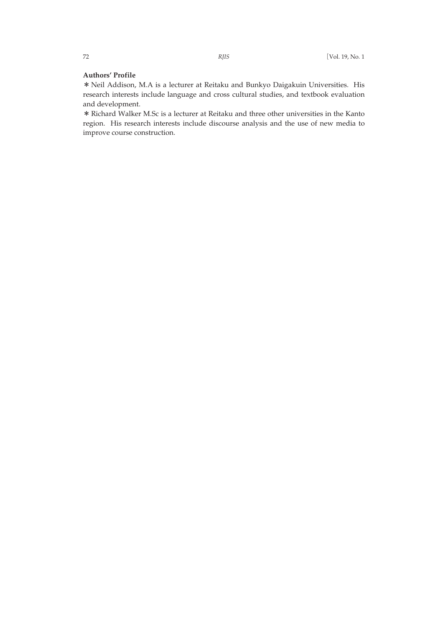## **Authors' Profile**

\*Neil Addison, M.A is a lecturer at Reitaku and Bunkyo Daigakuin Universities. His research interests include language and cross cultural studies, and textbook evaluation and development.

\*Richard Walker M.Sc is a lecturer at Reitaku and three other universities in the Kanto region. His research interests include discourse analysis and the use of new media to improve course construction.